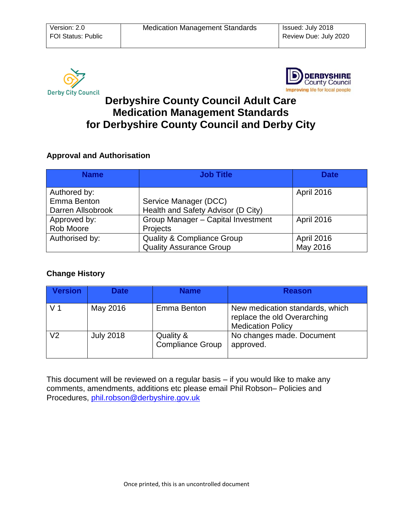



# **Derbyshire County Council Adult Care Medication Management Standards for Derbyshire County Council and Derby City**

#### **Approval and Authorisation**

| <b>Name</b>       | <b>Job Title</b>                      | <b>Date</b>       |
|-------------------|---------------------------------------|-------------------|
|                   |                                       |                   |
| Authored by:      |                                       | <b>April 2016</b> |
| Emma Benton       | Service Manager (DCC)                 |                   |
| Darren Allsobrook | Health and Safety Advisor (D City)    |                   |
| Approved by:      | Group Manager - Capital Investment    | April 2016        |
| Rob Moore         | Projects                              |                   |
| Authorised by:    | <b>Quality &amp; Compliance Group</b> | April 2016        |
|                   | <b>Quality Assurance Group</b>        | May 2016          |

## **Change History**

| <b>Version</b> | <b>Date</b>      | <b>Name</b>                          | <b>Reason</b>                                                                              |
|----------------|------------------|--------------------------------------|--------------------------------------------------------------------------------------------|
| V 1            | May 2016         | Emma Benton                          | New medication standards, which<br>replace the old Overarching<br><b>Medication Policy</b> |
| V2             | <b>July 2018</b> | Quality &<br><b>Compliance Group</b> | No changes made. Document<br>approved.                                                     |

This document will be reviewed on a regular basis – if you would like to make any comments, amendments, additions etc please email Phil Robson– Policies and Procedures, [phil.robson@derbyshire.gov.uk](mailto:phil.robson@derbyshire.gov.uk)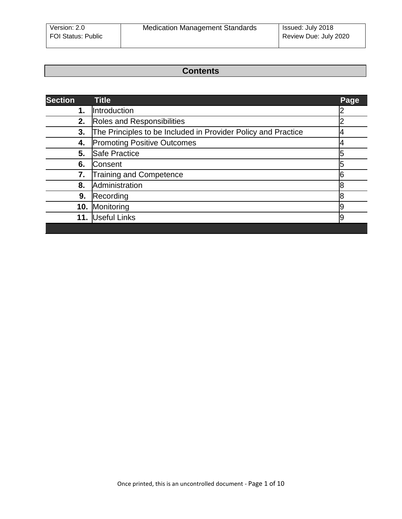## **Contents**

| <b>Section</b> | <b>Title</b>                                                  | Page |
|----------------|---------------------------------------------------------------|------|
| 1.             | Introduction                                                  |      |
| 2.             | Roles and Responsibilities                                    |      |
| 3.             | The Principles to be Included in Provider Policy and Practice |      |
| 4.             | <b>Promoting Positive Outcomes</b>                            |      |
| 5.             | Safe Practice                                                 |      |
| 6.             | Consent                                                       |      |
| 7.             | <b>Training and Competence</b>                                |      |
| 8.             | Administration                                                |      |
| 9.             | Recording                                                     | 8    |
| 10.            | Monitoring                                                    |      |
| 11.            | Useful Links                                                  |      |
|                |                                                               |      |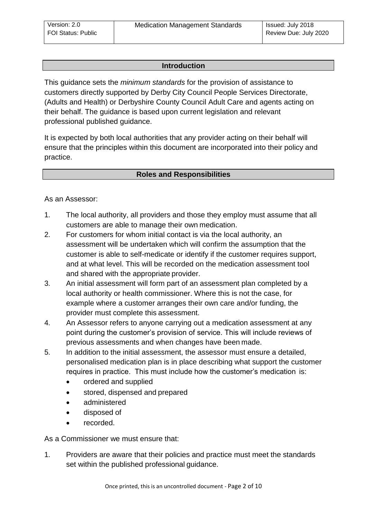#### **[Introduction](#page-2-2)**

<span id="page-2-3"></span><span id="page-2-2"></span><span id="page-2-1"></span><span id="page-2-0"></span>This guidance sets the *minimum standards* for the provision of assistance to customers directly supported by Derby City Council People Services Directorate, (Adults and Health) or Derbyshire County Council Adult Care and agents acting on their behalf. The guidance is based upon current legislation and relevant professional published guidance.

It is expected by both local authorities that any provider acting on their behalf will ensure that the principles within this document are incorporated into their policy and practice.

#### **[Roles and Responsibilities](#page-2-3)**

As an Assessor:

- 1. The local authority, all providers and those they employ must assume that all customers are able to manage their own medication.
- 2. For customers for whom initial contact is via the local authority, an assessment will be undertaken which will confirm the assumption that the customer is able to self-medicate or identify if the customer requires support, and at what level. This will be recorded on the medication assessment tool and shared with the appropriate provider.
- 3. An initial assessment will form part of an assessment plan completed by a local authority or health commissioner. Where this is not the case, for example where a customer arranges their own care and/or funding, the provider must complete this assessment.
- 4. An Assessor refers to anyone carrying out a medication assessment at any point during the customer's provision of service. This will include reviews of previous assessments and when changes have been made.
- 5. In addition to the initial assessment, the assessor must ensure a detailed, personalised medication plan is in place describing what support the customer requires in practice. This must include how the customer's medication is:
	- ordered and supplied
	- stored, dispensed and prepared
	- administered
	- disposed of
	- recorded.

As a Commissioner we must ensure that:

1. Providers are aware that their policies and practice must meet the standards set within the published professional guidance.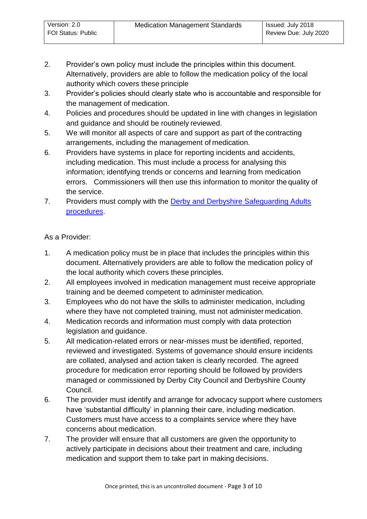- 2. Provider's own policy must include the principles within this document. Alternatively, providers are able to follow the medication policy of the local authority which covers these principle
- 3. Provider's policies should clearly state who is accountable and responsible for the management of medication.
- 4. Policies and procedures should be updated in line with changes in legislation and guidance and should be routinely reviewed.
- 5. We will monitor all aspects of care and support as part of the contracting arrangements, including the management of medication.
- 6. Providers have systems in place for reporting incidents and accidents, including medication. This must include a process for analysing this information; identifying trends or concerns and learning from medication errors. Commissioners will then use this information to monitor the quality of the service.
- 7. Providers must comply with the Derby and Derbyshire Safeguarding Adults [procedures.](http://www.saferderbyshire.gov.uk/our-priorities/adults/professional-guidance/default.asp)

## As a Provider:

- 1. A medication policy must be in place that includes the principles within this document. Alternatively providers are able to follow the medication policy of the local authority which covers these principles.
- 2. All employees involved in medication management must receive appropriate training and be deemed competent to administer medication.
- 3. Employees who do not have the skills to administer medication, including where they have not completed training, must not administer medication.
- 4. Medication records and information must comply with data protection legislation and guidance.
- 5. All medication-related errors or near-misses must be identified, reported, reviewed and investigated. Systems of governance should ensure incidents are collated, analysed and action taken is clearly recorded. The agreed procedure for medication error reporting should be followed by providers managed or commissioned by Derby City Council and Derbyshire County Council.
- 6. The provider must identify and arrange for advocacy support where customers have 'substantial difficulty' in planning their care, including medication. Customers must have access to a complaints service where they have concerns about medication.
- 7. The provider will ensure that all customers are given the opportunity to actively participate in decisions about their treatment and care, including medication and support them to take part in making decisions.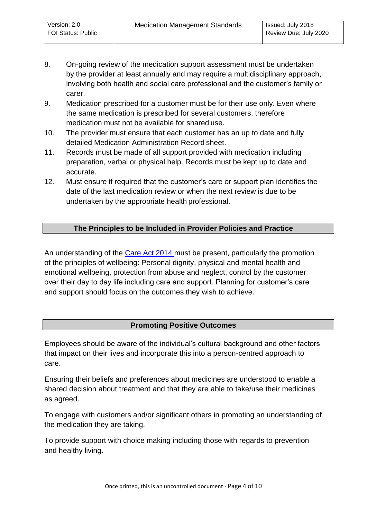- 8. On-going review of the medication support assessment must be undertaken by the provider at least annually and may require a multidisciplinary approach, involving both health and social care professional and the customer's family or carer.
- 9. Medication prescribed for a customer must be for their use only. Even where the same medication is prescribed for several customers, therefore medication must not be available for shared use.
- 10. The provider must ensure that each customer has an up to date and fully detailed Medication Administration Record sheet.
- 11. Records must be made of all support provided with medication including preparation, verbal or physical help. Records must be kept up to date and accurate.
- <span id="page-4-0"></span>12. Must ensure if required that the customer's care or support plan identifies the date of the last medication review or when the next review is due to be undertaken by the appropriate health professional.

## **[The Principles to be Included in Provider Policies and Practice](#page-4-2)**

<span id="page-4-3"></span><span id="page-4-2"></span><span id="page-4-1"></span>An understanding of the [Care Act 2014 m](http://www.legislation.gov.uk/ukpga/2014/23/contents/enacted)ust be present, particularly the promotion of the principles of wellbeing: Personal dignity, physical and mental health and emotional wellbeing, protection from abuse and neglect, control by the customer over their day to day life including care and support. Planning for customer's care and support should focus on the outcomes they wish to achieve.

## **[Promoting Positive Outcomes](#page-4-3)**

Employees should be aware of the individual's cultural background and other factors that impact on their lives and incorporate this into a person-centred approach to care.

Ensuring their beliefs and preferences about medicines are understood to enable a shared decision about treatment and that they are able to take/use their medicines as agreed.

To engage with customers and/or significant others in promoting an understanding of the medication they are taking.

To provide support with choice making including those with regards to prevention and healthy living.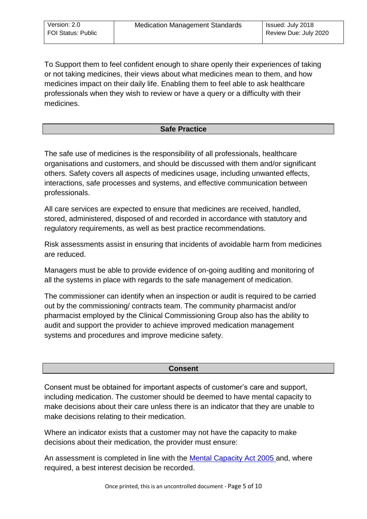<span id="page-5-1"></span><span id="page-5-0"></span>To Support them to feel confident enough to share openly their experiences of taking or not taking medicines, their views about what medicines mean to them, and how medicines impact on their daily life. Enabling them to feel able to ask healthcare professionals when they wish to review or have a query or a difficulty with their medicines.

## **[Safe Practice](#page-5-1)**

The safe use of medicines is the responsibility of all professionals, healthcare organisations and customers, and should be discussed with them and/or significant others. Safety covers all aspects of medicines usage, including unwanted effects, interactions, safe processes and systems, and effective communication between professionals.

All care services are expected to ensure that medicines are received, handled, stored, administered, disposed of and recorded in accordance with statutory and regulatory requirements, as well as best practice recommendations.

Risk assessments assist in ensuring that incidents of avoidable harm from medicines are reduced.

Managers must be able to provide evidence of on-going auditing and monitoring of all the systems in place with regards to the safe management of medication.

The commissioner can identify when an inspection or audit is required to be carried out by the commissioning/ contracts team. The community pharmacist and/or pharmacist employed by the Clinical Commissioning Group also has the ability to audit and support the provider to achieve improved medication management systems and procedures and improve medicine safety.

## **[Consent](#page-6-2)**

Consent must be obtained for important aspects of customer's care and support, including medication. The customer should be deemed to have mental capacity to make decisions about their care unless there is an indicator that they are unable to make decisions relating to their medication.

Where an indicator exists that a customer may not have the capacity to make decisions about their medication, the provider must ensure:

An assessment is completed in line with the [Mental Capacity Act 2005 a](http://www.legislation.gov.uk/ukpga/2005/9/contents)nd, where required, a best interest decision be recorded.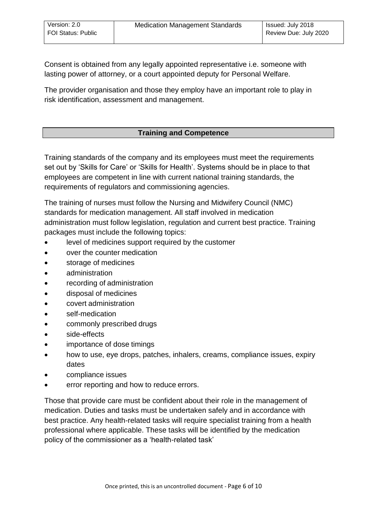<span id="page-6-2"></span><span id="page-6-1"></span><span id="page-6-0"></span>Consent is obtained from any legally appointed representative i.e. someone with lasting power of attorney, or a court appointed deputy for Personal Welfare.

<span id="page-6-3"></span>The provider organisation and those they employ have an important role to play in risk identification, assessment and management.

## **[Training and Competence](#page-6-3)**

Training standards of the company and its employees must meet the requirements set out by 'Skills for Care' or 'Skills for Health'. Systems should be in place to that employees are competent in line with current national training standards, the requirements of regulators and commissioning agencies.

The training of nurses must follow the Nursing and Midwifery Council (NMC) standards for medication management. All staff involved in medication administration must follow legislation, regulation and current best practice. Training packages must include the following topics:

- level of medicines support required by the customer
- over the counter medication
- storage of medicines
- administration
- recording of administration
- disposal of medicines
- covert administration
- self-medication
- commonly prescribed drugs
- side-effects
- importance of dose timings
- how to use, eye drops, patches, inhalers, creams, compliance issues, expiry dates
- compliance issues
- error reporting and how to reduce errors.

Those that provide care must be confident about their role in the management of medication. Duties and tasks must be undertaken safely and in accordance with best practice. Any health-related tasks will require specialist training from a health professional where applicable. These tasks will be identified by the medication policy of the commissioner as a 'health-related task'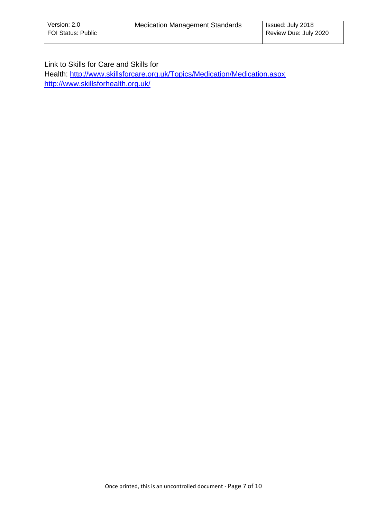#### Link to Skills for Care and Skills for

Health:<http://www.skillsforcare.org.uk/Topics/Medication/Medication.aspx> <http://www.skillsforhealth.org.uk/>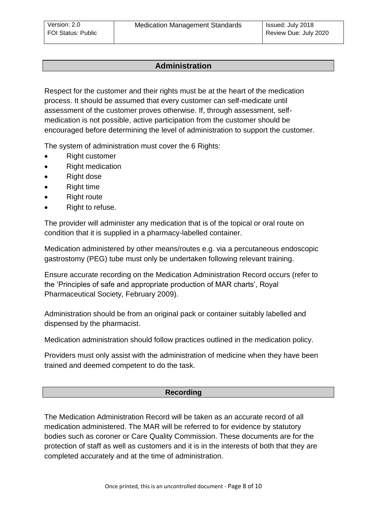## **Administration**

Respect for the customer and their rights must be at the heart of the medication process. It should be assumed that every customer can self-medicate until assessment of the customer proves otherwise. If, through assessment, selfmedication is not possible, active participation from the customer should be encouraged before determining the level of administration to support the customer.

The system of administration must cover the 6 Rights:

- Right customer
- Right medication
- Right dose
- Right time
- Right route
- Right to refuse.

The provider will administer any medication that is of the topical or oral route on condition that it is supplied in a pharmacy-labelled container.

<span id="page-8-0"></span>Medication administered by other means/routes e.g. via a percutaneous endoscopic gastrostomy (PEG) tube must only be undertaken following relevant training.

<span id="page-8-1"></span>Ensure accurate recording on the Medication Administration Record occurs (refer to the 'Principles of safe and appropriate production of MAR charts', Royal Pharmaceutical Society, February 2009).

Administration should be from an original pack or container suitably labelled and dispensed by the pharmacist.

Medication administration should follow practices outlined in the medication policy.

Providers must only assist with the administration of medicine when they have been trained and deemed competent to do the task.

#### **[Recording](#page-8-1)**

The Medication Administration Record will be taken as an accurate record of all medication administered. The MAR will be referred to for evidence by statutory bodies such as coroner or Care Quality Commission. These documents are for the protection of staff as well as customers and it is in the interests of both that they are completed accurately and at the time of administration.